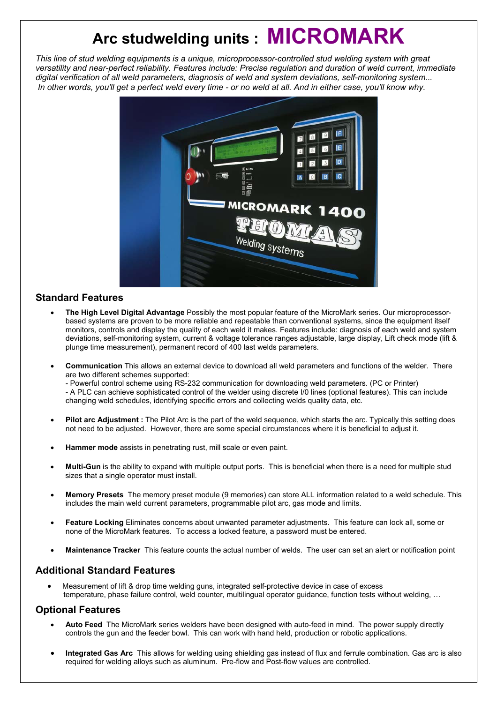# **Arc studwelding units : MICROMARK**

*This line of stud welding equipments is a unique, microprocessor-controlled stud welding system with great versatility and near-perfect reliability. Features include: Precise regulation and duration of weld current, immediate digital verification of all weld parameters, diagnosis of weld and system deviations, self-monitoring system... In other words, you'll get a perfect weld every time - or no weld at all. And in either case, you'll know why.* 



## **Standard Features**

- **The High Level Digital Advantage** Possibly the most popular feature of the MicroMark series. Our microprocessorbased systems are proven to be more reliable and repeatable than conventional systems, since the equipment itself monitors, controls and display the quality of each weld it makes. Features include: diagnosis of each weld and system deviations, self-monitoring system, current & voltage tolerance ranges adjustable, large display, Lift check mode (lift & plunge time measurement), permanent record of 400 last welds parameters.
- **Communication** This allows an external device to download all weld parameters and functions of the welder. There are two different schemes supported:

- Powerful control scheme using RS-232 communication for downloading weld parameters. (PC or Printer) - A PLC can achieve sophisticated control of the welder using discrete I/0 lines (optional features). This can include changing weld schedules, identifying specific errors and collecting welds quality data, etc.

- **Pilot arc Adjustment :** The Pilot Arc is the part of the weld sequence, which starts the arc. Typically this setting does not need to be adjusted. However, there are some special circumstances where it is beneficial to adjust it.
- **Hammer mode** assists in penetrating rust, mill scale or even paint.
- **Multi-Gun** is the ability to expand with multiple output ports. This is beneficial when there is a need for multiple stud sizes that a single operator must install.
- **Memory Presets** The memory preset module (9 memories) can store ALL information related to a weld schedule. This includes the main weld current parameters, programmable pilot arc, gas mode and limits.
- **Feature Locking** Eliminates concerns about unwanted parameter adjustments. This feature can lock all, some or none of the MicroMark features. To access a locked feature, a password must be entered.
- **Maintenance Tracker** This feature counts the actual number of welds. The user can set an alert or notification point

## **Additional Standard Features**

• Measurement of lift & drop time welding guns, integrated self-protective device in case of excess temperature, phase failure control, weld counter, multilingual operator guidance, function tests without welding, …

## **Optional Features**

- **Auto Feed** The MicroMark series welders have been designed with auto-feed in mind. The power supply directly controls the gun and the feeder bowl. This can work with hand held, production or robotic applications.
- **Integrated Gas Arc** This allows for welding using shielding gas instead of flux and ferrule combination. Gas arc is also required for welding alloys such as aluminum. Pre-flow and Post-flow values are controlled.